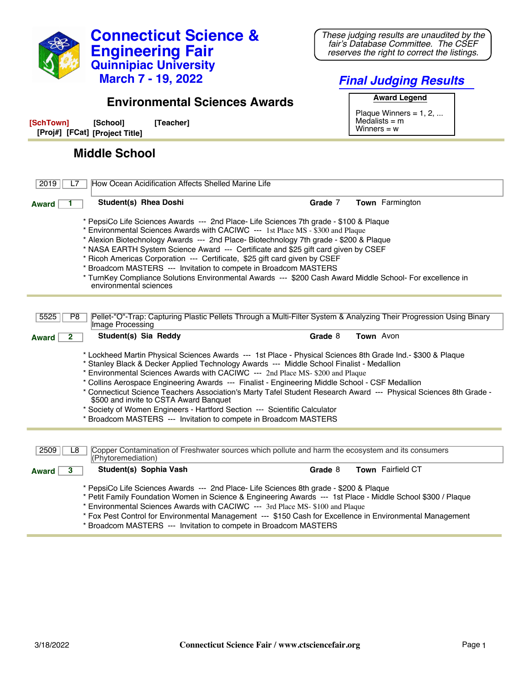

**Connecticut Science &**

**Engineering Fair**

\* Petit Family Foundation Women in Science & Engineering Awards --- 1st Place - Middle School \$300 / Plaque

\* Environmental Sciences Awards with CACIWC --- 3rd Place MS- \$100 and Plaque

\* Fox Pest Control for Environmental Management --- \$150 Cash for Excellence in Environmental Management

\* Broadcom MASTERS --- Invitation to compete in Broadcom MASTERS

*These judging results are unaudited by the fair's Database Committee. The CSEF reserves the right to correct the listings.*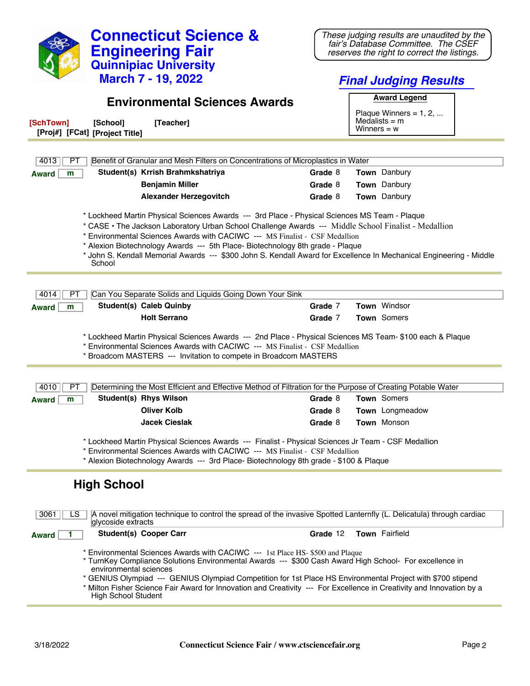| <b>Connecticut Science &amp;</b><br><b>Engineering Fair</b><br><b>Quinnipiac University</b><br><b>March 7 - 19, 2022</b>                                                                                                                                                                                                                                                                                                                                                                                | These judging results are unaudited by the<br>fair's Database Committee. The CSEF<br>reserves the right to correct the listings. |  |  |  |
|---------------------------------------------------------------------------------------------------------------------------------------------------------------------------------------------------------------------------------------------------------------------------------------------------------------------------------------------------------------------------------------------------------------------------------------------------------------------------------------------------------|----------------------------------------------------------------------------------------------------------------------------------|--|--|--|
|                                                                                                                                                                                                                                                                                                                                                                                                                                                                                                         | <b>Final Judging Results</b>                                                                                                     |  |  |  |
| <b>Environmental Sciences Awards</b>                                                                                                                                                                                                                                                                                                                                                                                                                                                                    | <b>Award Legend</b>                                                                                                              |  |  |  |
|                                                                                                                                                                                                                                                                                                                                                                                                                                                                                                         | Plaque Winners = $1, 2, $                                                                                                        |  |  |  |
| [SchTown]<br>[Teacher]<br>[School]<br>[Proj#] [FCat] [Project Title]                                                                                                                                                                                                                                                                                                                                                                                                                                    | Medalists $=$ m<br>Winners $= w$                                                                                                 |  |  |  |
|                                                                                                                                                                                                                                                                                                                                                                                                                                                                                                         |                                                                                                                                  |  |  |  |
| Benefit of Granular and Mesh Filters on Concentrations of Microplastics in Water<br>4013<br>PТ                                                                                                                                                                                                                                                                                                                                                                                                          |                                                                                                                                  |  |  |  |
| Student(s) Krrish Brahmkshatriya<br>m<br><b>Award</b>                                                                                                                                                                                                                                                                                                                                                                                                                                                   | Town Danbury<br>Grade 8                                                                                                          |  |  |  |
| <b>Benjamin Miller</b>                                                                                                                                                                                                                                                                                                                                                                                                                                                                                  | Town Danbury<br>Grade 8                                                                                                          |  |  |  |
| <b>Alexander Herzegovitch</b>                                                                                                                                                                                                                                                                                                                                                                                                                                                                           | Town Danbury<br>Grade 8                                                                                                          |  |  |  |
|                                                                                                                                                                                                                                                                                                                                                                                                                                                                                                         |                                                                                                                                  |  |  |  |
| * Lockheed Martin Physical Sciences Awards --- 3rd Place - Physical Sciences MS Team - Plaque<br>* CASE • The Jackson Laboratory Urban School Challenge Awards --- Middle School Finalist - Medallion<br>* Environmental Sciences Awards with CACIWC --- MS Finalist - CSF Medallion<br>* Alexion Biotechnology Awards --- 5th Place- Biotechnology 8th grade - Plaque<br>* John S. Kendall Memorial Awards --- \$300 John S. Kendall Award for Excellence In Mechanical Engineering - Middle<br>School |                                                                                                                                  |  |  |  |
|                                                                                                                                                                                                                                                                                                                                                                                                                                                                                                         |                                                                                                                                  |  |  |  |
| 4014<br>Can You Separate Solids and Liquids Going Down Your Sink<br>PT<br><b>Student(s) Caleb Quinby</b>                                                                                                                                                                                                                                                                                                                                                                                                | Town Windsor<br>Grade 7                                                                                                          |  |  |  |
| <b>Award</b><br>m<br><b>Holt Serrano</b>                                                                                                                                                                                                                                                                                                                                                                                                                                                                | Grade 7<br><b>Town</b> Somers                                                                                                    |  |  |  |
|                                                                                                                                                                                                                                                                                                                                                                                                                                                                                                         |                                                                                                                                  |  |  |  |
| * Lockheed Martin Physical Sciences Awards --- 2nd Place - Physical Sciences MS Team- \$100 each & Plaque<br>* Environmental Sciences Awards with CACIWC --- MS Finalist - CSF Medallion<br>* Broadcom MASTERS --- Invitation to compete in Broadcom MASTERS                                                                                                                                                                                                                                            |                                                                                                                                  |  |  |  |
| Determining the Most Efficient and Effective Method of Filtration for the Purpose of Creating Potable Water<br>4010<br>PТ                                                                                                                                                                                                                                                                                                                                                                               |                                                                                                                                  |  |  |  |
| Student(s) Rhys Wilson<br>m                                                                                                                                                                                                                                                                                                                                                                                                                                                                             | Town Somers<br>Grade 8                                                                                                           |  |  |  |
| <b>Award</b><br><b>Oliver Kolb</b>                                                                                                                                                                                                                                                                                                                                                                                                                                                                      | Town Longmeadow<br>Grade 8                                                                                                       |  |  |  |
| <b>Jacek Cieslak</b>                                                                                                                                                                                                                                                                                                                                                                                                                                                                                    | Town Monson<br>Grade 8                                                                                                           |  |  |  |
| * Lockheed Martin Physical Sciences Awards --- Finalist - Physical Sciences Jr Team - CSF Medallion<br>* Environmental Sciences Awards with CACIWC --- MS Finalist - CSF Medallion<br>* Alexion Biotechnology Awards --- 3rd Place- Biotechnology 8th grade - \$100 & Plaque                                                                                                                                                                                                                            |                                                                                                                                  |  |  |  |
| <b>High School</b>                                                                                                                                                                                                                                                                                                                                                                                                                                                                                      |                                                                                                                                  |  |  |  |
| A novel mitigation technique to control the spread of the invasive Spotted Lanternfly (L. Delicatula) through cardiac<br>3061<br>LS.<br>glycoside extracts                                                                                                                                                                                                                                                                                                                                              |                                                                                                                                  |  |  |  |
| <b>Student(s) Cooper Carr</b><br><b>Award</b>                                                                                                                                                                                                                                                                                                                                                                                                                                                           | Town Fairfield<br>Grade 12                                                                                                       |  |  |  |
| * Environmental Sciences Awards with CACIWC --- 1st Place HS- \$500 and Plaque<br>* TurnKey Compliance Solutions Environmental Awards --- \$300 Cash Award High School- For excellence in<br>environmental sciences<br>* GENIUS Olympiad --- GENIUS Olympiad Competition for 1st Place HS Environmental Project with \$700 stipend<br>* Milton Fisher Science Fair Award for Innovation and Creativity --- For Excellence in Creativity and Innovation by a<br><b>High School Student</b>               |                                                                                                                                  |  |  |  |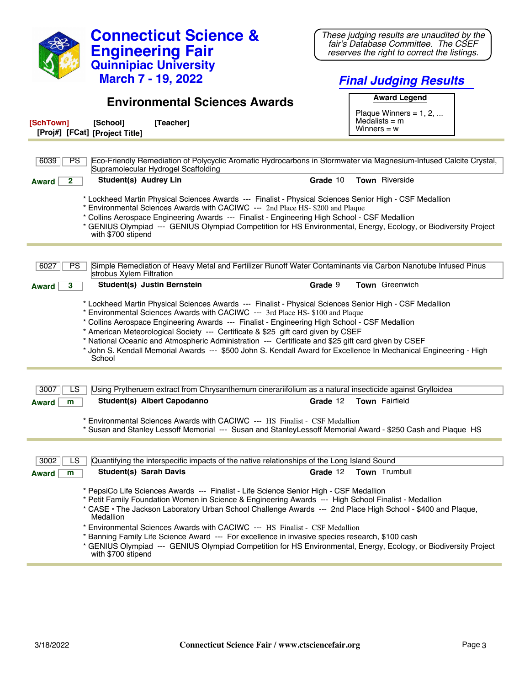|                                                                                                                                                                                                                                                                                                                                                                                                                                                                                                                                                                                                                     |                                 | <b>Connecticut Science &amp;</b><br><b>Engineering Fair</b>                                                                                                                                                                                                                                                                                                                                                                                                                                                                                                                                                         |          |                                  | These judging results are unaudited by the<br>fair's Database Committee. The CSEF<br>reserves the right to correct the listings. |  |
|---------------------------------------------------------------------------------------------------------------------------------------------------------------------------------------------------------------------------------------------------------------------------------------------------------------------------------------------------------------------------------------------------------------------------------------------------------------------------------------------------------------------------------------------------------------------------------------------------------------------|---------------------------------|---------------------------------------------------------------------------------------------------------------------------------------------------------------------------------------------------------------------------------------------------------------------------------------------------------------------------------------------------------------------------------------------------------------------------------------------------------------------------------------------------------------------------------------------------------------------------------------------------------------------|----------|----------------------------------|----------------------------------------------------------------------------------------------------------------------------------|--|
|                                                                                                                                                                                                                                                                                                                                                                                                                                                                                                                                                                                                                     |                                 | <b>Quinnipiac University</b>                                                                                                                                                                                                                                                                                                                                                                                                                                                                                                                                                                                        |          |                                  |                                                                                                                                  |  |
|                                                                                                                                                                                                                                                                                                                                                                                                                                                                                                                                                                                                                     |                                 | <b>March 7 - 19, 2022</b>                                                                                                                                                                                                                                                                                                                                                                                                                                                                                                                                                                                           |          |                                  | <b>Final Judging Results</b>                                                                                                     |  |
|                                                                                                                                                                                                                                                                                                                                                                                                                                                                                                                                                                                                                     |                                 | <b>Environmental Sciences Awards</b>                                                                                                                                                                                                                                                                                                                                                                                                                                                                                                                                                                                |          |                                  | <b>Award Legend</b>                                                                                                              |  |
| [SchTown]<br>[Proj#] [FCat] [Project Title]                                                                                                                                                                                                                                                                                                                                                                                                                                                                                                                                                                         | [School]                        | [Teacher]                                                                                                                                                                                                                                                                                                                                                                                                                                                                                                                                                                                                           |          | $Medalists = m$<br>Winners = $w$ | Plaque Winners = $1, 2, $                                                                                                        |  |
|                                                                                                                                                                                                                                                                                                                                                                                                                                                                                                                                                                                                                     |                                 |                                                                                                                                                                                                                                                                                                                                                                                                                                                                                                                                                                                                                     |          |                                  |                                                                                                                                  |  |
| 6039<br><b>PS</b>                                                                                                                                                                                                                                                                                                                                                                                                                                                                                                                                                                                                   |                                 | Eco-Friendly Remediation of Polycyclic Aromatic Hydrocarbons in Stormwater via Magnesium-Infused Calcite Crystal,<br>Supramolecular Hydrogel Scaffolding                                                                                                                                                                                                                                                                                                                                                                                                                                                            |          |                                  |                                                                                                                                  |  |
| $\mathbf{2}$<br><b>Award</b>                                                                                                                                                                                                                                                                                                                                                                                                                                                                                                                                                                                        | Student(s) Audrey Lin           |                                                                                                                                                                                                                                                                                                                                                                                                                                                                                                                                                                                                                     | Grade 10 | <b>Town</b> Riverside            |                                                                                                                                  |  |
| * Lockheed Martin Physical Sciences Awards --- Finalist - Physical Sciences Senior High - CSF Medallion<br>* Environmental Sciences Awards with CACIWC --- 2nd Place HS- \$200 and Plaque<br>* Collins Aerospace Engineering Awards --- Finalist - Engineering High School - CSF Medallion<br>* GENIUS Olympiad --- GENIUS Olympiad Competition for HS Environmental, Energy, Ecology, or Biodiversity Project<br>with \$700 stipend                                                                                                                                                                                |                                 |                                                                                                                                                                                                                                                                                                                                                                                                                                                                                                                                                                                                                     |          |                                  |                                                                                                                                  |  |
| 6027<br>PS.                                                                                                                                                                                                                                                                                                                                                                                                                                                                                                                                                                                                         | strobus Xylem Filtration        | Simple Remediation of Heavy Metal and Fertilizer Runoff Water Contaminants via Carbon Nanotube Infused Pinus                                                                                                                                                                                                                                                                                                                                                                                                                                                                                                        |          |                                  |                                                                                                                                  |  |
| 3<br>Award                                                                                                                                                                                                                                                                                                                                                                                                                                                                                                                                                                                                          |                                 | Student(s) Justin Bernstein                                                                                                                                                                                                                                                                                                                                                                                                                                                                                                                                                                                         | Grade 9  |                                  | <b>Town</b> Greenwich                                                                                                            |  |
| * Lockheed Martin Physical Sciences Awards --- Finalist - Physical Sciences Senior High - CSF Medallion<br>* Environmental Sciences Awards with CACIWC --- 3rd Place HS- \$100 and Plaque<br>* Collins Aerospace Engineering Awards --- Finalist - Engineering High School - CSF Medallion<br>* American Meteorological Society --- Certificate & \$25 gift card given by CSEF<br>* National Oceanic and Atmospheric Administration --- Certificate and \$25 gift card given by CSEF<br>* John S. Kendall Memorial Awards --- \$500 John S. Kendall Award for Excellence In Mechanical Engineering - High<br>School |                                 |                                                                                                                                                                                                                                                                                                                                                                                                                                                                                                                                                                                                                     |          |                                  |                                                                                                                                  |  |
|                                                                                                                                                                                                                                                                                                                                                                                                                                                                                                                                                                                                                     |                                 |                                                                                                                                                                                                                                                                                                                                                                                                                                                                                                                                                                                                                     |          |                                  |                                                                                                                                  |  |
| 3007<br>LS                                                                                                                                                                                                                                                                                                                                                                                                                                                                                                                                                                                                          |                                 | Using Prytheruem extract from Chrysanthemum cinerariifolium as a natural insecticide against Grylloidea                                                                                                                                                                                                                                                                                                                                                                                                                                                                                                             |          |                                  |                                                                                                                                  |  |
| m<br>Award                                                                                                                                                                                                                                                                                                                                                                                                                                                                                                                                                                                                          |                                 | Student(s) Albert Capodanno                                                                                                                                                                                                                                                                                                                                                                                                                                                                                                                                                                                         | Grade 12 | <b>Town</b> Fairfield            |                                                                                                                                  |  |
| * Environmental Sciences Awards with CACIWC --- HS Finalist - CSF Medallion<br>* Susan and Stanley Lessoff Memorial --- Susan and Stanley Lessoff Memorial Award - \$250 Cash and Plaque HS                                                                                                                                                                                                                                                                                                                                                                                                                         |                                 |                                                                                                                                                                                                                                                                                                                                                                                                                                                                                                                                                                                                                     |          |                                  |                                                                                                                                  |  |
| 3002<br>LS<br><b>Award</b><br>m                                                                                                                                                                                                                                                                                                                                                                                                                                                                                                                                                                                     | <b>Student(s) Sarah Davis</b>   | Quantifying the interspecific impacts of the native relationships of the Long Island Sound                                                                                                                                                                                                                                                                                                                                                                                                                                                                                                                          | Grade 12 | Town Trumbull                    |                                                                                                                                  |  |
|                                                                                                                                                                                                                                                                                                                                                                                                                                                                                                                                                                                                                     | Medallion<br>with \$700 stipend | * PepsiCo Life Sciences Awards --- Finalist - Life Science Senior High - CSF Medallion<br>* Petit Family Foundation Women in Science & Engineering Awards --- High School Finalist - Medallion<br>* CASE • The Jackson Laboratory Urban School Challenge Awards --- 2nd Place High School - \$400 and Plaque,<br>* Environmental Sciences Awards with CACIWC --- HS Finalist - CSF Medallion<br>* Banning Family Life Science Award --- For excellence in invasive species research, \$100 cash<br>* GENIUS Olympiad --- GENIUS Olympiad Competition for HS Environmental, Energy, Ecology, or Biodiversity Project |          |                                  |                                                                                                                                  |  |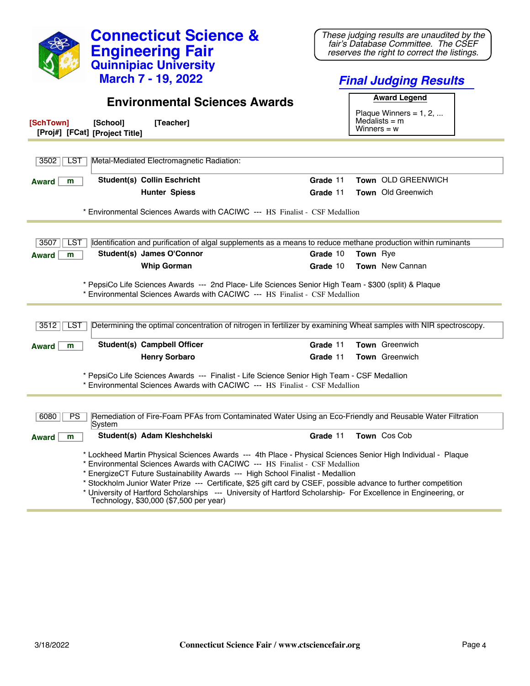|                                                                                                                                                                                                                                                                                                                                                                                                                                                                                                                     | <b>Connecticut Science &amp;</b><br><b>Engineering Fair</b><br><b>Quinnipiac University</b>                              |          |                 | These judging results are unaudited by the<br>fair's Database Committee. The CSEF<br>reserves the right to correct the listings. |  |
|---------------------------------------------------------------------------------------------------------------------------------------------------------------------------------------------------------------------------------------------------------------------------------------------------------------------------------------------------------------------------------------------------------------------------------------------------------------------------------------------------------------------|--------------------------------------------------------------------------------------------------------------------------|----------|-----------------|----------------------------------------------------------------------------------------------------------------------------------|--|
|                                                                                                                                                                                                                                                                                                                                                                                                                                                                                                                     | <b>March 7 - 19, 2022</b>                                                                                                |          |                 | <b>Final Judging Results</b>                                                                                                     |  |
|                                                                                                                                                                                                                                                                                                                                                                                                                                                                                                                     | <b>Environmental Sciences Awards</b>                                                                                     |          |                 | <b>Award Legend</b><br>Plaque Winners = $1, 2, $                                                                                 |  |
| [SchTown]<br>[Proj#] [FCat] [Project Title]                                                                                                                                                                                                                                                                                                                                                                                                                                                                         | [Teacher]<br>[School]                                                                                                    |          | Winners $= w$   | Medalists $=$ m                                                                                                                  |  |
| 3502<br><b>LST</b>                                                                                                                                                                                                                                                                                                                                                                                                                                                                                                  | Metal-Mediated Electromagnetic Radiation:                                                                                |          |                 |                                                                                                                                  |  |
| <b>Award</b><br>m                                                                                                                                                                                                                                                                                                                                                                                                                                                                                                   | <b>Student(s) Collin Eschricht</b>                                                                                       | Grade 11 |                 | Town OLD GREENWICH                                                                                                               |  |
|                                                                                                                                                                                                                                                                                                                                                                                                                                                                                                                     | <b>Hunter Spiess</b>                                                                                                     | Grade 11 |                 | <b>Town</b> Old Greenwich                                                                                                        |  |
|                                                                                                                                                                                                                                                                                                                                                                                                                                                                                                                     | * Environmental Sciences Awards with CACIWC --- HS Finalist - CSF Medallion                                              |          |                 |                                                                                                                                  |  |
|                                                                                                                                                                                                                                                                                                                                                                                                                                                                                                                     |                                                                                                                          |          |                 |                                                                                                                                  |  |
| 3507<br>LST                                                                                                                                                                                                                                                                                                                                                                                                                                                                                                         | Identification and purification of algal supplements as a means to reduce methane production within ruminants            |          |                 |                                                                                                                                  |  |
| m<br><b>Award</b>                                                                                                                                                                                                                                                                                                                                                                                                                                                                                                   | Student(s) James O'Connor                                                                                                | Grade 10 | <b>Town</b> Rye |                                                                                                                                  |  |
|                                                                                                                                                                                                                                                                                                                                                                                                                                                                                                                     | <b>Whip Gorman</b>                                                                                                       | Grade 10 |                 | <b>Town</b> New Cannan                                                                                                           |  |
| * PepsiCo Life Sciences Awards --- 2nd Place- Life Sciences Senior High Team - \$300 (split) & Plaque<br>* Environmental Sciences Awards with CACIWC --- HS Finalist - CSF Medallion                                                                                                                                                                                                                                                                                                                                |                                                                                                                          |          |                 |                                                                                                                                  |  |
| 3512<br><b>LST</b>                                                                                                                                                                                                                                                                                                                                                                                                                                                                                                  | Determining the optimal concentration of nitrogen in fertilizer by examining Wheat samples with NIR spectroscopy.        |          |                 |                                                                                                                                  |  |
| <b>Award</b><br>m                                                                                                                                                                                                                                                                                                                                                                                                                                                                                                   | <b>Student(s) Campbell Officer</b>                                                                                       | Grade 11 |                 | Town Greenwich                                                                                                                   |  |
|                                                                                                                                                                                                                                                                                                                                                                                                                                                                                                                     | <b>Henry Sorbaro</b>                                                                                                     | Grade 11 |                 | Town Greenwich                                                                                                                   |  |
| * PepsiCo Life Sciences Awards --- Finalist - Life Science Senior High Team - CSF Medallion<br>* Environmental Sciences Awards with CACIWC --- HS Finalist - CSF Medallion                                                                                                                                                                                                                                                                                                                                          |                                                                                                                          |          |                 |                                                                                                                                  |  |
|                                                                                                                                                                                                                                                                                                                                                                                                                                                                                                                     |                                                                                                                          |          |                 |                                                                                                                                  |  |
| 6080                                                                                                                                                                                                                                                                                                                                                                                                                                                                                                                | PS   Remediation of Fire-Foam PFAs from Contaminated Water Using an Eco-Friendly and Reusable Water Filtration<br>System |          |                 |                                                                                                                                  |  |
| <b>Award</b><br>m                                                                                                                                                                                                                                                                                                                                                                                                                                                                                                   | Student(s) Adam Kleshchelski                                                                                             | Grade 11 |                 | Town Cos Cob                                                                                                                     |  |
| * Lockheed Martin Physical Sciences Awards --- 4th Place - Physical Sciences Senior High Individual - Plaque<br>* Environmental Sciences Awards with CACIWC --- HS Finalist - CSF Medallion<br>* EnergizeCT Future Sustainability Awards --- High School Finalist - Medallion<br>* Stockholm Junior Water Prize --- Certificate, \$25 gift card by CSEF, possible advance to further competition<br>* University of Hartford Scholarships --- University of Hartford Scholarship- For Excellence in Engineering, or |                                                                                                                          |          |                 |                                                                                                                                  |  |

Technology, \$30,000 (\$7,500 per year)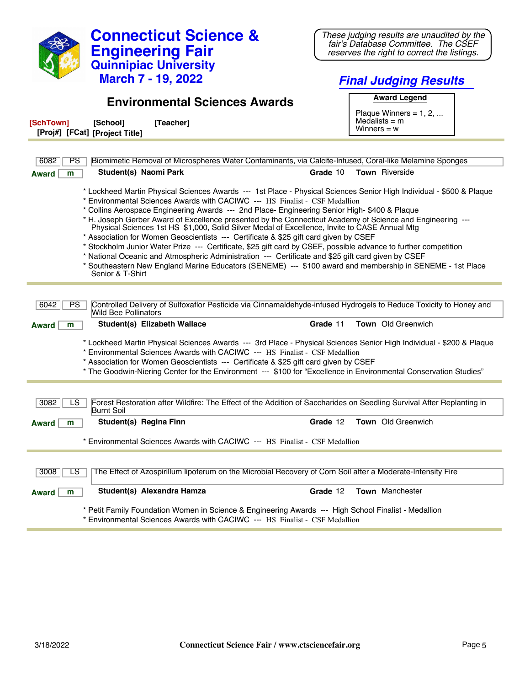| <b>Connecticut Science &amp;</b>                                                                                                                                                                                | These judging results are unaudited by the                                         |
|-----------------------------------------------------------------------------------------------------------------------------------------------------------------------------------------------------------------|------------------------------------------------------------------------------------|
| <b>Engineering Fair</b>                                                                                                                                                                                         | fair's Database Committee. The CSEF<br>reserves the right to correct the listings. |
| <b>Quinnipiac University</b>                                                                                                                                                                                    |                                                                                    |
| <b>March 7 - 19, 2022</b>                                                                                                                                                                                       | <b>Final Judging Results</b>                                                       |
|                                                                                                                                                                                                                 |                                                                                    |
| <b>Environmental Sciences Awards</b>                                                                                                                                                                            | <b>Award Legend</b>                                                                |
| [SchTown]<br>[Teacher]                                                                                                                                                                                          | Plaque Winners = $1, 2, $<br>Medalists $=$ m                                       |
| [School]<br>[Proj#] [FCat] [Project Title]                                                                                                                                                                      | Winners $= w$                                                                      |
|                                                                                                                                                                                                                 |                                                                                    |
| 6082<br>PS<br>Biomimetic Removal of Microspheres Water Contaminants, via Calcite-Infused, Coral-like Melamine Sponges                                                                                           |                                                                                    |
| Student(s) Naomi Park<br>m<br><b>Award</b>                                                                                                                                                                      | Town Riverside<br>Grade 10                                                         |
|                                                                                                                                                                                                                 |                                                                                    |
| * Lockheed Martin Physical Sciences Awards --- 1st Place - Physical Sciences Senior High Individual - \$500 & Plaque<br>* Environmental Sciences Awards with CACIWC --- HS Finalist - CSF Medallion             |                                                                                    |
| * Collins Aerospace Engineering Awards --- 2nd Place- Engineering Senior High- \$400 & Plaque                                                                                                                   |                                                                                    |
| * H. Joseph Gerber Award of Excellence presented by the Connecticut Academy of Science and Engineering ---<br>Physical Sciences 1st HS \$1,000, Solid Silver Medal of Excellence, Invite to CASE Annual Mtg     |                                                                                    |
| * Association for Women Geoscientists --- Certificate & \$25 gift card given by CSEF                                                                                                                            |                                                                                    |
| * Stockholm Junior Water Prize --- Certificate, \$25 gift card by CSEF, possible advance to further competition                                                                                                 |                                                                                    |
| * National Oceanic and Atmospheric Administration --- Certificate and \$25 gift card given by CSEF<br>* Southeastern New England Marine Educators (SENEME) --- \$100 award and membership in SENEME - 1st Place |                                                                                    |
| Senior & T-Shirt                                                                                                                                                                                                |                                                                                    |
|                                                                                                                                                                                                                 |                                                                                    |
| Controlled Delivery of Sulfoxaflor Pesticide via Cinnamaldehyde-infused Hydrogels to Reduce Toxicity to Honey and<br>6042<br><b>PS</b>                                                                          |                                                                                    |
| <b>Wild Bee Pollinators</b>                                                                                                                                                                                     |                                                                                    |
| Student(s) Elizabeth Wallace<br>m<br><b>Award</b>                                                                                                                                                               | Town Old Greenwich<br>Grade 11                                                     |
| * Lockheed Martin Physical Sciences Awards --- 3rd Place - Physical Sciences Senior High Individual - \$200 & Plaque                                                                                            |                                                                                    |
| * Environmental Sciences Awards with CACIWC --- HS Finalist - CSF Medallion                                                                                                                                     |                                                                                    |
| * Association for Women Geoscientists --- Certificate & \$25 gift card given by CSEF<br>* The Goodwin-Niering Center for the Environment --- \$100 for "Excellence in Environmental Conservation Studies"       |                                                                                    |
|                                                                                                                                                                                                                 |                                                                                    |
|                                                                                                                                                                                                                 |                                                                                    |
| Forest Restoration after Wildfire: The Effect of the Addition of Saccharides on Seedling Survival After Replanting in<br>3082<br>LS<br><b>Burnt Soil</b>                                                        |                                                                                    |
| Student(s) Regina Finn<br><b>Award</b><br>m                                                                                                                                                                     | Grade 12<br>Town Old Greenwich                                                     |
|                                                                                                                                                                                                                 |                                                                                    |
| * Environmental Sciences Awards with CACIWC --- HS Finalist - CSF Medallion                                                                                                                                     |                                                                                    |
|                                                                                                                                                                                                                 |                                                                                    |
| The Effect of Azospirillum lipoferum on the Microbial Recovery of Corn Soil after a Moderate-Intensity Fire<br>3008<br>LS                                                                                       |                                                                                    |
| Student(s) Alexandra Hamza                                                                                                                                                                                      | Town Manchester                                                                    |
| <b>Award</b><br>m                                                                                                                                                                                               | Grade 12                                                                           |

\* Environmental Sciences Awards with CACIWC --- HS Finalist - CSF Medallion